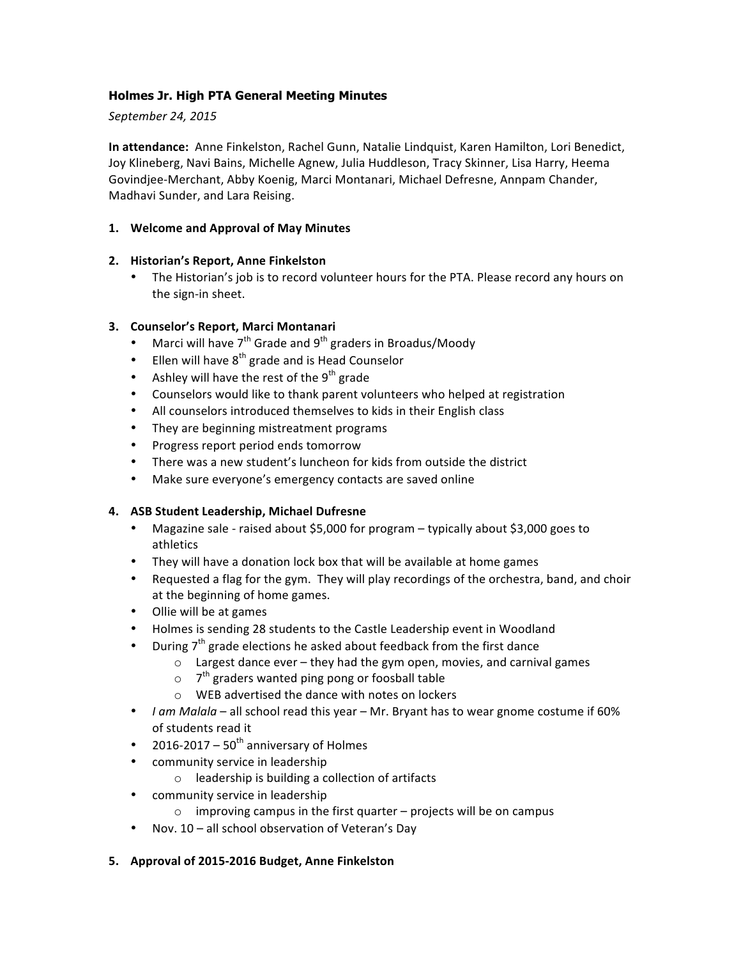# **Holmes Jr. High PTA General Meeting Minutes**

### *September 24, 2015*

**In attendance:** Anne Finkelston, Rachel Gunn, Natalie Lindquist, Karen Hamilton, Lori Benedict, Joy Klineberg, Navi Bains, Michelle Agnew, Julia Huddleson, Tracy Skinner, Lisa Harry, Heema Govindjee-Merchant, Abby Koenig, Marci Montanari, Michael Defresne, Annpam Chander, Madhavi Sunder, and Lara Reising.

### **1. Welcome and Approval of May Minutes**

## **2. Historian's Report, Anne Finkelston**

• The Historian's job is to record volunteer hours for the PTA. Please record any hours on the sign-in sheet.

## **3. Counselor's Report, Marci Montanari**

- Marci will have  $7^{th}$  Grade and  $9^{th}$  graders in Broadus/Moody
- Ellen will have  $8^{th}$  grade and is Head Counselor
- Ashley will have the rest of the  $9^{th}$  grade
- Counselors would like to thank parent volunteers who helped at registration
- All counselors introduced themselves to kids in their English class
- They are beginning mistreatment programs
- Progress report period ends tomorrow
- There was a new student's luncheon for kids from outside the district
- Make sure everyone's emergency contacts are saved online

### **4. ASB Student Leadership, Michael Dufresne**

- Magazine sale raised about \$5,000 for program typically about \$3,000 goes to athletics
- They will have a donation lock box that will be available at home games
- Requested a flag for the gym. They will play recordings of the orchestra, band, and choir at the beginning of home games.
- Ollie will be at games
- Holmes is sending 28 students to the Castle Leadership event in Woodland
- During  $7<sup>th</sup>$  grade elections he asked about feedback from the first dance
	- $\circ$  Largest dance ever they had the gym open, movies, and carnival games
	- $\circ$  7<sup>th</sup> graders wanted ping pong or foosball table
	- $\circ$  WEB advertised the dance with notes on lockers
- *I am Malala* all school read this year Mr. Bryant has to wear gnome costume if 60% of students read it
- 2016-2017  $50<sup>th</sup>$  anniversary of Holmes
- community service in leadership
	- $\circ$  leadership is building a collection of artifacts
- community service in leadership
	- $\circ$  improving campus in the first quarter projects will be on campus
- Nov. 10 all school observation of Veteran's Day
- **5. Approval of 2015-2016 Budget, Anne Finkelston**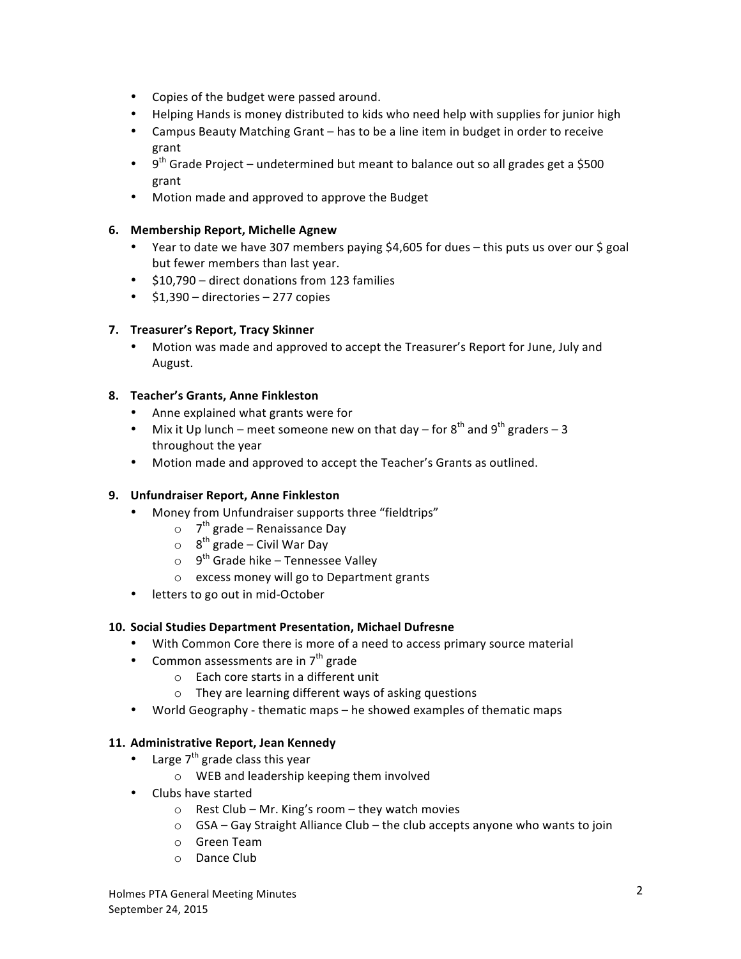- Copies of the budget were passed around.
- Helping Hands is money distributed to kids who need help with supplies for junior high
- Campus Beauty Matching Grant has to be a line item in budget in order to receive grant
- 9<sup>th</sup> Grade Project undetermined but meant to balance out so all grades get a \$500 grant
- Motion made and approved to approve the Budget

# **6. Membership Report, Michelle Agnew**

- Year to date we have 307 members paying \$4,605 for dues this puts us over our \$ goal but fewer members than last year.
- \$10,790 direct donations from 123 families
- $$1,390$  directories 277 copies

# **7. Treasurer's Report, Tracy Skinner**

Motion was made and approved to accept the Treasurer's Report for June, July and August.

# **8. Teacher's Grants, Anne Finkleston**

- Anne explained what grants were for
- Mix it Up lunch meet someone new on that day for  $8^{th}$  and  $9^{th}$  graders 3 throughout the year
- Motion made and approved to accept the Teacher's Grants as outlined.

# **9. Unfundraiser Report, Anne Finkleston**

- Money from Unfundraiser supports three "fieldtrips"
	- $\circ$  7<sup>th</sup> grade Renaissance Day
	- $\circ$  8<sup>th</sup> grade Civil War Day
	- $\circ$  9<sup>th</sup> Grade hike Tennessee Valley
	- o excess money will go to Department grants
- letters to go out in mid-October

### **10. Social Studies Department Presentation, Michael Dufresne**

- With Common Core there is more of a need to access primary source material
- Common assessments are in  $7<sup>th</sup>$  grade
	- $\circ$  Each core starts in a different unit
	- $\circ$  They are learning different ways of asking questions
- World Geography thematic maps he showed examples of thematic maps

## 11. Administrative Report, Jean Kennedy

- Large  $7<sup>th</sup>$  grade class this year
	- $\circ$  WEB and leadership keeping them involved
- Clubs have started
	- $\circ$  Rest Club Mr. King's room they watch movies
	- $\circ$  GSA Gay Straight Alliance Club the club accepts anyone who wants to join
	- o Green Team
	- o Dance Club